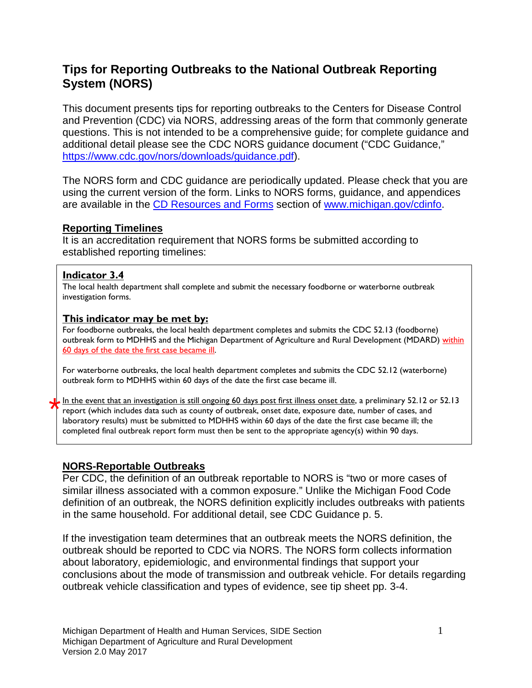# **Tips for Reporting Outbreaks to the National Outbreak Reporting System (NORS)**

This document presents tips for reporting outbreaks to the Centers for Disease Control and Prevention (CDC) via NORS, addressing areas of the form that commonly generate questions. This is not intended to be a comprehensive guide; for complete guidance and additional detail please see the CDC NORS guidance document ("CDC Guidance," [https://www.cdc.gov/nors/downloads/guidance.pdf\)](https://www.cdc.gov/nors/downloads/guidance.pdf).

The NORS form and CDC guidance are periodically updated. Please check that you are using the current version of the form. Links to NORS forms, guidance, and appendices are available in the [CD Resources and Forms](http://www.michigan.gov/mdch/0,1607,7-132-2945_5104_53072_53074---,00.html) section of [www.michigan.gov/cdinfo.](http://www.michigan.gov/cdinfo)

### **Reporting Timelines**

It is an accreditation requirement that NORS forms be submitted according to established reporting timelines:

### **Indicator 3.4**

The local health department shall complete and submit the necessary foodborne or waterborne outbreak investigation forms.

### **This indicator may be met by:**

For foodborne outbreaks, the local health department completes and submits the CDC 52.13 (foodborne) outbreak form to MDHHS and the Michigan Department of Agriculture and Rural Development (MDARD) within 60 days of the date the first case became ill.

For waterborne outbreaks, the local health department completes and submits the CDC 52.12 (waterborne) outbreak form to MDHHS within 60 days of the date the first case became ill.

In the event that an investigation is still ongoing 60 days post first illness onset date, a preliminary 52.12 or 52.13 report (which includes data such as county of outbreak, onset date, exposure date, number of cases, and laboratory results) must be submitted to MDHHS within 60 days of the date the first case became ill; the completed final outbreak report form must then be sent to the appropriate agency(s) within 90 days. \*

### **NORS-Reportable Outbreaks**

Per CDC, the definition of an outbreak reportable to NORS is "two or more cases of similar illness associated with a common exposure." Unlike the Michigan Food Code definition of an outbreak, the NORS definition explicitly includes outbreaks with patients in the same household. For additional detail, see CDC Guidance p. 5.

If the investigation team determines that an outbreak meets the NORS definition, the outbreak should be reported to CDC via NORS. The NORS form collects information about laboratory, epidemiologic, and environmental findings that support your conclusions about the mode of transmission and outbreak vehicle. For details regarding outbreak vehicle classification and types of evidence, see tip sheet pp. 3-4.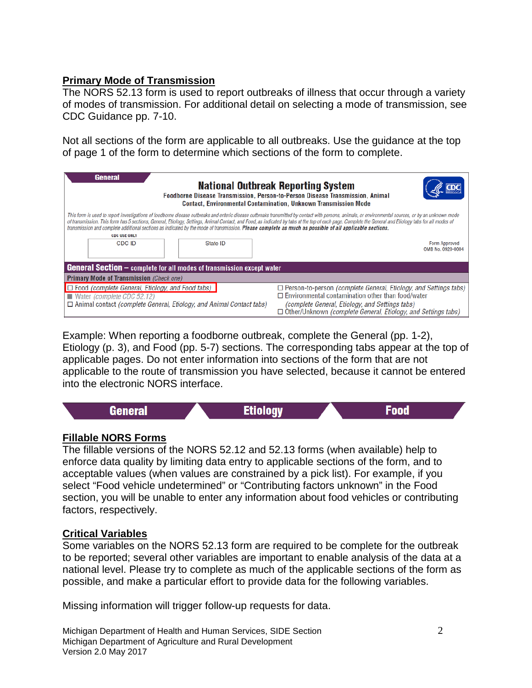### **Primary Mode of Transmission**

The NORS 52.13 form is used to report outbreaks of illness that occur through a variety of modes of transmission. For additional detail on selecting a mode of transmission, see CDC Guidance pp. 7-10.

Not all sections of the form are applicable to all outbreaks. Use the guidance at the top of page 1 of the form to determine which sections of the form to complete.

| General<br><b>National Outbreak Reporting System</b><br>Foodborne Disease Transmission, Person-to-Person Disease Transmission, Animal<br><b>Contact, Environmental Contamination, Unknown Transmission Mode</b>                                                                                                                                                                                                                                                                                                                                                             |                                                                                                                                                                                                                                                                                     |  |  |  |
|-----------------------------------------------------------------------------------------------------------------------------------------------------------------------------------------------------------------------------------------------------------------------------------------------------------------------------------------------------------------------------------------------------------------------------------------------------------------------------------------------------------------------------------------------------------------------------|-------------------------------------------------------------------------------------------------------------------------------------------------------------------------------------------------------------------------------------------------------------------------------------|--|--|--|
| This form is used to report investigations of foodborne disease outbreaks and enteric disease outbreaks transmitted by contact with persons, animals, or environmental sources, or by an unknown mode<br>of transmission. This form has 5 sections, General, Etiology, Settings, Animal Contact, and Food, as indicated by tabs at the top of each page. Complete the General and Etiology tabs for all modes of<br>transmission and complete additional sections as indicated by the mode of transmission. Please complete as much as possible of all applicable sections. |                                                                                                                                                                                                                                                                                     |  |  |  |
| <b>CDC USE ONLY</b><br>CDC ID<br>State ID                                                                                                                                                                                                                                                                                                                                                                                                                                                                                                                                   | Form Approved<br>OMB No. 0920-0004                                                                                                                                                                                                                                                  |  |  |  |
| <b>General Section</b> – complete for all modes of transmission except water                                                                                                                                                                                                                                                                                                                                                                                                                                                                                                |                                                                                                                                                                                                                                                                                     |  |  |  |
| <b>Primary Mode of Transmission (Check one)</b>                                                                                                                                                                                                                                                                                                                                                                                                                                                                                                                             |                                                                                                                                                                                                                                                                                     |  |  |  |
| $\Box$ Food (complete General, Etiology, and Food tabs)<br>$\blacksquare$ Water <i>(complete CDC 52.12)</i><br>$\Box$ Animal contact <i>(complete General, Etiology, and Animal Contact tabs)</i>                                                                                                                                                                                                                                                                                                                                                                           | $\Box$ Person-to-person <i>(complete General, Etiology, and Settings tabs)</i><br>$\Box$ Environmental contamination other than food/water<br><i>(complete General, Etiology, and Settings tabs)</i><br>$\Box$ Other/Unknown <i>(complete General, Etiology, and Settings tabs)</i> |  |  |  |

Example: When reporting a foodborne outbreak, complete the General (pp. 1-2), Etiology (p. 3), and Food (pp. 5-7) sections. The corresponding tabs appear at the top of applicable pages. Do not enter information into sections of the form that are not applicable to the route of transmission you have selected, because it cannot be entered into the electronic NORS interface.



### **Fillable NORS Forms**

The fillable versions of the NORS 52.12 and 52.13 forms (when available) help to enforce data quality by limiting data entry to applicable sections of the form, and to acceptable values (when values are constrained by a pick list). For example, if you select "Food vehicle undetermined" or "Contributing factors unknown" in the Food section, you will be unable to enter any information about food vehicles or contributing factors, respectively.

### **Critical Variables**

Some variables on the NORS 52.13 form are required to be complete for the outbreak to be reported; several other variables are important to enable analysis of the data at a national level. Please try to complete as much of the applicable sections of the form as possible, and make a particular effort to provide data for the following variables.

Missing information will trigger follow-up requests for data.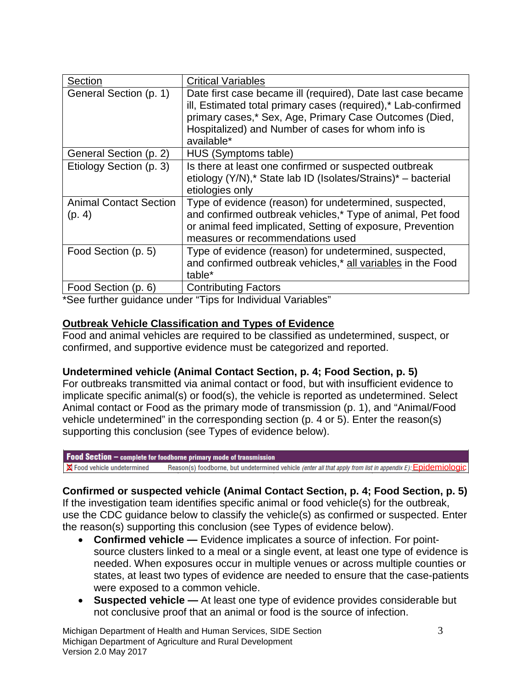| Section                                 | <b>Critical Variables</b>                                                                                                                                                                                                                                   |
|-----------------------------------------|-------------------------------------------------------------------------------------------------------------------------------------------------------------------------------------------------------------------------------------------------------------|
| General Section (p. 1)                  | Date first case became ill (required), Date last case became<br>ill, Estimated total primary cases (required),* Lab-confirmed<br>primary cases,* Sex, Age, Primary Case Outcomes (Died,<br>Hospitalized) and Number of cases for whom info is<br>available* |
| General Section (p. 2)                  | HUS (Symptoms table)                                                                                                                                                                                                                                        |
| Etiology Section (p. 3)                 | Is there at least one confirmed or suspected outbreak<br>etiology (Y/N),* State lab ID (Isolates/Strains)* - bacterial<br>etiologies only                                                                                                                   |
| <b>Animal Contact Section</b><br>(p. 4) | Type of evidence (reason) for undetermined, suspected,<br>and confirmed outbreak vehicles,* Type of animal, Pet food<br>or animal feed implicated, Setting of exposure, Prevention<br>measures or recommendations used                                      |
| Food Section (p. 5)                     | Type of evidence (reason) for undetermined, suspected,<br>and confirmed outbreak vehicles,* all variables in the Food<br>table*                                                                                                                             |
| Food Section (p. 6)                     | <b>Contributing Factors</b>                                                                                                                                                                                                                                 |

\*See further guidance under "Tips for Individual Variables"

### **Outbreak Vehicle Classification and Types of Evidence**

Food and animal vehicles are required to be classified as undetermined, suspect, or confirmed, and supportive evidence must be categorized and reported.

### **Undetermined vehicle (Animal Contact Section, p. 4; Food Section, p. 5)**

For outbreaks transmitted via animal contact or food, but with insufficient evidence to implicate specific animal(s) or food(s), the vehicle is reported as undetermined. Select Animal contact or Food as the primary mode of transmission (p. 1), and "Animal/Food vehicle undetermined" in the corresponding section (p. 4 or 5). Enter the reason(s) supporting this conclusion (see Types of evidence below).

#### **Food Section**  $-$  complete for foodborne primary mode of transmission

X Food vehicle undetermined Reason(s) foodborne, but undetermined vehicle (enter all that apply from list in appendix E): Epidemiologic

### **Confirmed or suspected vehicle (Animal Contact Section, p. 4; Food Section, p. 5)**

If the investigation team identifies specific animal or food vehicle(s) for the outbreak, use the CDC guidance below to classify the vehicle(s) as confirmed or suspected. Enter the reason(s) supporting this conclusion (see Types of evidence below).

- **Confirmed vehicle —** Evidence implicates a source of infection. For pointsource clusters linked to a meal or a single event, at least one type of evidence is needed. When exposures occur in multiple venues or across multiple counties or states, at least two types of evidence are needed to ensure that the case-patients were exposed to a common vehicle.
- **Suspected vehicle —** At least one type of evidence provides considerable but not conclusive proof that an animal or food is the source of infection.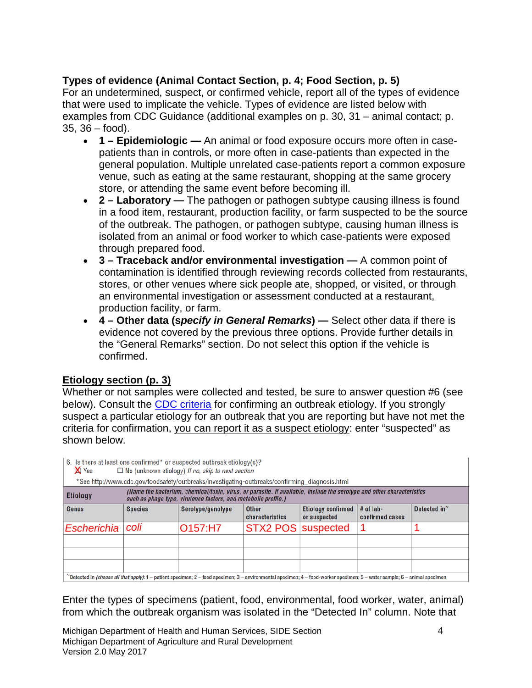### **Types of evidence (Animal Contact Section, p. 4; Food Section, p. 5)**

For an undetermined, suspect, or confirmed vehicle, report all of the types of evidence that were used to implicate the vehicle. Types of evidence are listed below with examples from CDC Guidance (additional examples on p. 30, 31 – animal contact; p. 35, 36 – food).

- **1 – Epidemiologic —** An animal or food exposure occurs more often in casepatients than in controls, or more often in case-patients than expected in the general population. Multiple unrelated case-patients report a common exposure venue, such as eating at the same restaurant, shopping at the same grocery store, or attending the same event before becoming ill.
- **2 – Laboratory —** The pathogen or pathogen subtype causing illness is found in a food item, restaurant, production facility, or farm suspected to be the source of the outbreak. The pathogen, or pathogen subtype, causing human illness is isolated from an animal or food worker to which case-patients were exposed through prepared food.
- **3 – Traceback and/or environmental investigation —** A common point of contamination is identified through reviewing records collected from restaurants, stores, or other venues where sick people ate, shopped, or visited, or through an environmental investigation or assessment conducted at a restaurant, production facility, or farm.
- **4 – Other data (s***pecify in General Remarks***) —** Select other data if there is evidence not covered by the previous three options. Provide further details in the "General Remarks" section. Do not select this option if the vehicle is confirmed.

## **Etiology section (p. 3)**

Whether or not samples were collected and tested, be sure to answer question #6 (see below). Consult the **CDC** criteria for confirming an outbreak etiology. If you strongly suspect a particular etiology for an outbreak that you are reporting but have not met the criteria for confirmation, you can report it as a suspect etiology: enter "suspected" as shown below.

| 6. Is there at least one confirmed* or suspected outbreak etiology(s)?<br><b>X</b> Yes<br>$\Box$ No (unknown etiology) If no, skip to next section<br>*See http://www.cdc.gov/foodsafety/outbreaks/investigating-outbreaks/confirming_diagnosis.html |                |                                  |                                 |                                           |                                |                          |
|------------------------------------------------------------------------------------------------------------------------------------------------------------------------------------------------------------------------------------------------------|----------------|----------------------------------|---------------------------------|-------------------------------------------|--------------------------------|--------------------------|
| (Name the bacterium, chemical/toxin, virus, or parasite. If available, include the serotype and other characteristics<br><b>Etiology</b><br>such as phage type, virulence factors, and metabolic profile.)                                           |                |                                  |                                 |                                           |                                |                          |
| Genus                                                                                                                                                                                                                                                | <b>Species</b> | Serotype/genotype                | <b>Other</b><br>characteristics | <b>Etiology confirmed</b><br>or suspected | $#$ of lab-<br>confirmed cases | Detected in <sup>~</sup> |
| Escherichia                                                                                                                                                                                                                                          | coli           | O <sub>157</sub> :H <sub>7</sub> | STX2 POS suspected              |                                           |                                |                          |
|                                                                                                                                                                                                                                                      |                |                                  |                                 |                                           |                                |                          |
|                                                                                                                                                                                                                                                      |                |                                  |                                 |                                           |                                |                          |
| "Detected in <i>(choose all that apply)</i> : 1 – patient specimen; 2 – food specimen; 3 – environmental specimen; 4 – food-worker specimen; 5 – water sample; 6 – animal specimen                                                                   |                |                                  |                                 |                                           |                                |                          |

Enter the types of specimens (patient, food, environmental, food worker, water, animal) from which the outbreak organism was isolated in the "Detected In" column. Note that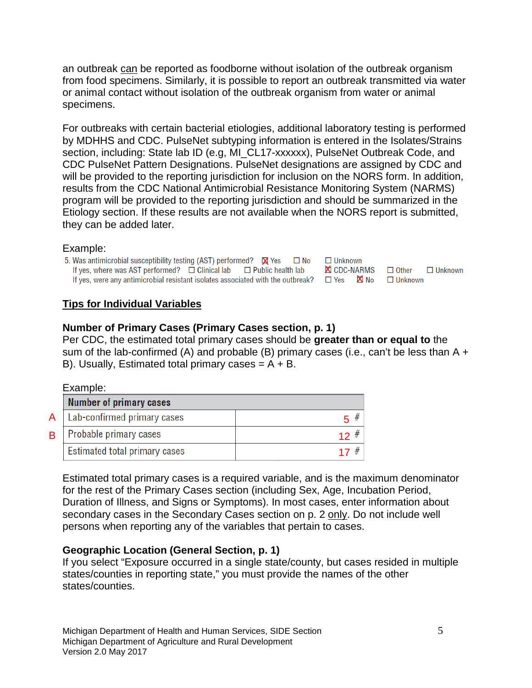an outbreak can be reported as foodborne without isolation of the outbreak organism from food specimens. Similarly, it is possible to report an outbreak transmitted via water or animal contact without isolation of the outbreak organism from water or animal specimens.

For outbreaks with certain bacterial etiologies, additional laboratory testing is performed by MDHHS and CDC. PulseNet subtyping information is entered in the Isolates/Strains section, including: State lab ID (e.g, MI\_CL17-xxxxxx), PulseNet Outbreak Code, and CDC PulseNet Pattern Designations. PulseNet designations are assigned by CDC and will be provided to the reporting jurisdiction for inclusion on the NORS form. In addition, results from the CDC National Antimicrobial Resistance Monitoring System (NARMS) program will be provided to the reporting jurisdiction and should be summarized in the Etiology section. If these results are not available when the NORS report is submitted, they can be added later.

#### Example:

5. Was antimicrobial susceptibility testing (AST) performed?  $\boxtimes$  Yes  $\Box$  No<br>If yes, where was AST performed?  $\Box$  Clinical lab  $\Box$  Public health lab If yes, were any antimicrobial resistant isolates associated with the outbreak?  $\Box$  Yes  $\Box$  No  $\Box$  Unknown

### **Tips for Individual Variables**

### **Number of Primary Cases (Primary Cases section, p. 1)**

Per CDC, the estimated total primary cases should be **greater than or equal to** the sum of the lab-confirmed (A) and probable (B) primary cases (i.e., can't be less than  $A +$ B). Usually, Estimated total primary cases  $= A + B$ .

**X** CDC-NARMS □ Other

 $\Box$  Unknown

 $\Box$  Unknown

#### Example:

|   | <b>Number of primary cases</b>       |  |
|---|--------------------------------------|--|
|   | $A \mid$ Lab-confirmed primary cases |  |
| B | Probable primary cases               |  |
|   | <b>Estimated total primary cases</b> |  |

B

Estimated total primary cases is a required variable, and is the maximum denominator for the rest of the Primary Cases section (including Sex, Age, Incubation Period, Duration of Illness, and Signs or Symptoms). In most cases, enter information about secondary cases in the Secondary Cases section on p. 2 only. Do not include well persons when reporting any of the variables that pertain to cases.

### **Geographic Location (General Section, p. 1)**

If you select "Exposure occurred in a single state/county, but cases resided in multiple states/counties in reporting state," you must provide the names of the other states/counties.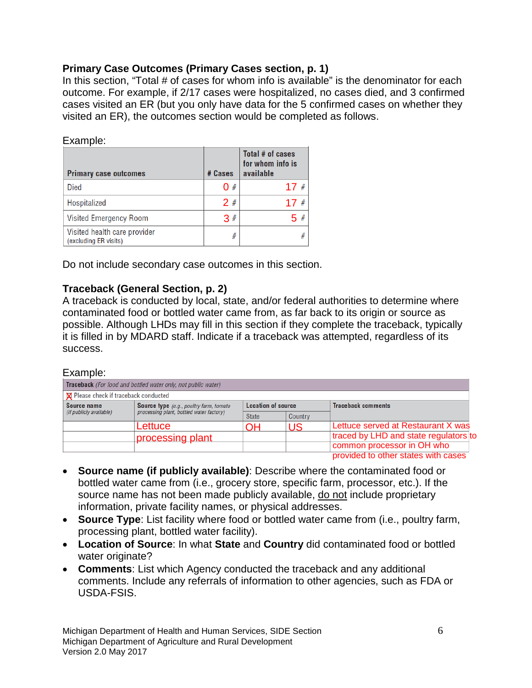### **Primary Case Outcomes (Primary Cases section, p. 1)**

In this section, "Total # of cases for whom info is available" is the denominator for each outcome. For example, if 2/17 cases were hospitalized, no cases died, and 3 confirmed cases visited an ER (but you only have data for the 5 confirmed cases on whether they visited an ER), the outcomes section would be completed as follows.

### Example:

| <b>Primary case outcomes</b>                          | # Cases | Total # of cases<br>for whom info is<br>available |
|-------------------------------------------------------|---------|---------------------------------------------------|
| <b>Died</b>                                           | 0#      | 17#                                               |
| Hospitalized                                          | 2#      | #<br>17                                           |
| <b>Visited Emergency Room</b>                         | 3#      | 5#                                                |
| Visited health care provider<br>(excluding ER visits) | #       | #                                                 |

Do not include secondary case outcomes in this section.

### **Traceback (General Section, p. 2)**

A traceback is conducted by local, state, and/or federal authorities to determine where contaminated food or bottled water came from, as far back to its origin or source as possible. Although LHDs may fill in this section if they complete the traceback, typically it is filled in by MDARD staff. Indicate if a traceback was attempted, regardless of its success.

#### Example:

| Traceback (For food and bottled water only, not public water) |                                                |                           |         |                                       |
|---------------------------------------------------------------|------------------------------------------------|---------------------------|---------|---------------------------------------|
| <b>X</b> Please check if traceback conducted                  |                                                |                           |         |                                       |
| Source name                                                   | <b>Source type</b> (e.g., poultry farm, tomato | <b>Location of source</b> |         | <b>Traceback comments</b>             |
| (if publicly available)                                       | processing plant, bottled water factory)       | <b>State</b>              | Country |                                       |
|                                                               | Lettuce                                        | ΟH                        | US      | Lettuce served at Restaurant X was    |
|                                                               | processing plant                               |                           |         | traced by LHD and state regulators to |
|                                                               |                                                |                           |         | common processor in OH who            |
|                                                               |                                                |                           |         | provided to other states with cases   |

- **Source name (if publicly available)**: Describe where the contaminated food or bottled water came from (i.e., grocery store, specific farm, processor, etc.). If the source name has not been made publicly available, do not include proprietary information, private facility names, or physical addresses.
- **Source Type**: List facility where food or bottled water came from (i.e., poultry farm, processing plant, bottled water facility).
- **Location of Source**: In what **State** and **Country** did contaminated food or bottled water originate?
- **Comments**: List which Agency conducted the traceback and any additional comments. Include any referrals of information to other agencies, such as FDA or USDA-FSIS.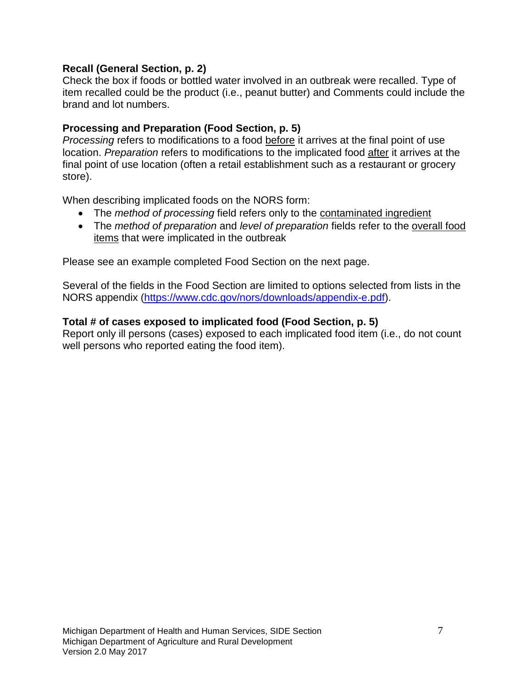### **Recall (General Section, p. 2)**

Check the box if foods or bottled water involved in an outbreak were recalled. Type of item recalled could be the product (i.e., peanut butter) and Comments could include the brand and lot numbers.

### **Processing and Preparation (Food Section, p. 5)**

*Processing* refers to modifications to a food before it arrives at the final point of use location. *Preparation* refers to modifications to the implicated food after it arrives at the final point of use location (often a retail establishment such as a restaurant or grocery store).

When describing implicated foods on the NORS form:

- The *method of processing* field refers only to the contaminated ingredient
- The *method of preparation* and *level of preparation* fields refer to the overall food items that were implicated in the outbreak

Please see an example completed Food Section on the next page.

Several of the fields in the Food Section are limited to options selected from lists in the NORS appendix [\(https://www.cdc.gov/nors/downloads/appendix-e.pdf\)](https://www.cdc.gov/nors/downloads/appendix-e.pdf).

### **Total # of cases exposed to implicated food (Food Section, p. 5)**

Report only ill persons (cases) exposed to each implicated food item (i.e., do not count well persons who reported eating the food item).